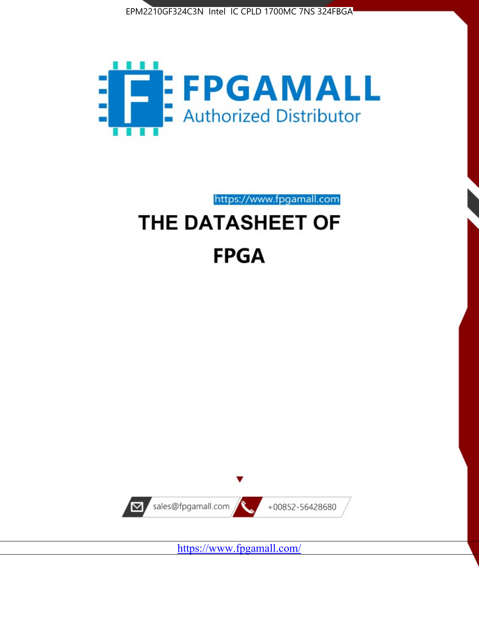



https://www.fpgamall.com

# THE DATASHEET OF **FPGA**



https://www.fpgamall.com/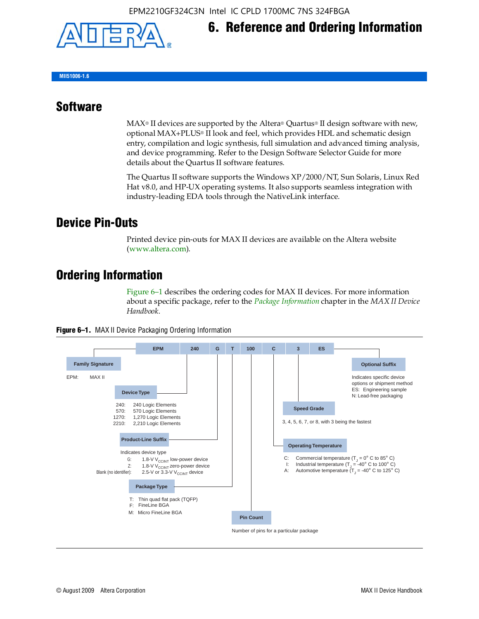

**MII51006-1.6**

#### **Software**

 $MAX<sup>®</sup>$  II devices are supported by the Altera® Quartus<sup>®</sup> II design software with new, optional MAX+PLUS® II look and feel, which provides HDL and schematic design entry, compilation and logic synthesis, full simulation and advanced timing analysis, and device programming. Refer to the Design Software Selector Guide for more details about the Quartus II software features.

**6. Reference and Ordering Information**

The Quartus II software supports the Windows XP/2000/NT, Sun Solaris, Linux Red Hat v8.0, and HP-UX operating systems. It also supports seamless integration with industry-leading EDA tools through the NativeLink interface.

#### **Device Pin-Outs**

Printed device pin-outs for MAX II devices are available on the Altera website ([www.altera.com](http://www.altera.com/)).

### **Ordering Information**

Figure 6–1 describes the ordering codes for MAX II devices. For more information about a specific package, refer to the *[Package Information](http://www.altera.com/literature/hb/max2/max2_mii51007.pdf)* chapter in the *MAX II Device Handbook*.



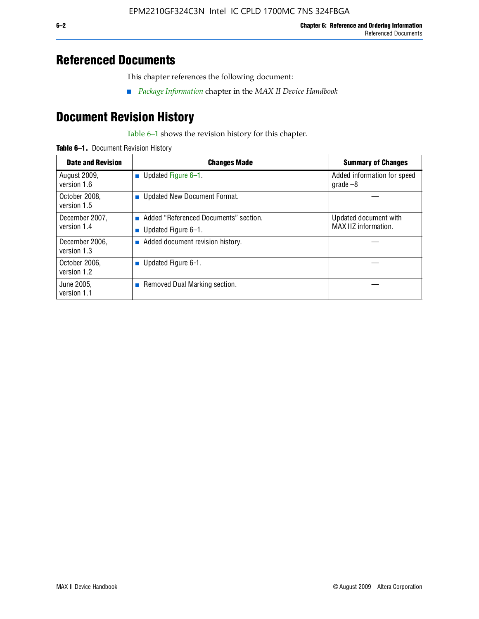### **Referenced Documents**

This chapter references the following document:

■ *[Package Information](http://www.altera.com/literature/hb/max2/max2_mii51007.pdf)* chapter in the *MAX II Device Handbook*

## **Document Revision History**

Table 6–1 shows the revision history for this chapter.

| Table 6-1. Document Revision History |
|--------------------------------------|
|                                      |

| <b>Date and Revision</b>      | <b>Changes Made</b>                                          | <b>Summary of Changes</b>                     |
|-------------------------------|--------------------------------------------------------------|-----------------------------------------------|
| August 2009,<br>version 1.6   | Updated Figure 6-1.<br>$\sim$                                | Added information for speed<br>$q\,rad\,e-8$  |
| October 2008,<br>version 1.5  | Updated New Document Format.                                 |                                               |
| December 2007,<br>version 1.4 | Added "Referenced Documents" section.<br>Updated Figure 6-1. | Updated document with<br>MAX IIZ information. |
| December 2006,<br>version 1.3 | Added document revision history.                             |                                               |
| October 2006.<br>version 1.2  | Updated Figure 6-1.                                          |                                               |
| June 2005.<br>version 1.1     | $\blacksquare$ Removed Dual Marking section.                 |                                               |